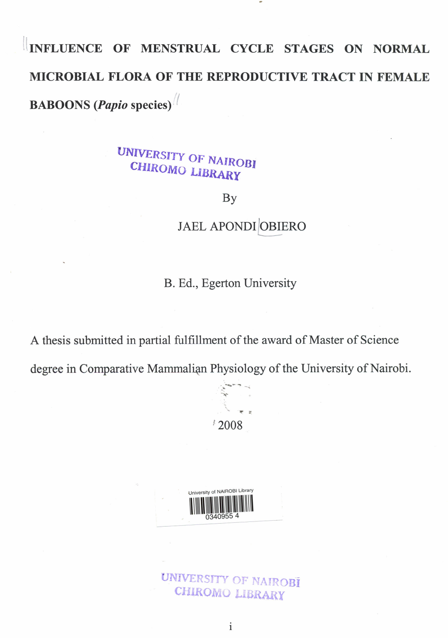## INFLUENCE OF MENSTRUAL CYCLE STAGES ON NORMAL MICROBIAL FLORA OF THE REPRODUCTIVE TRACT IN FEMALE **BABOONS** *(Papio* species)<sup>//</sup>

## *UNIVERSITY* **CHIROMO\_LIBRARY**

By

## JAEL APONDI OBIERO

B. Ed., Egerton University

A thesis submitted in partial fulfillment of the award of Master of Science

degree in Comparative Mammalian Physiology of the University of Nairobi.



University of NAIROBI Library

UNIVERSITY OF NAIROBI CHIROMO LIBRARY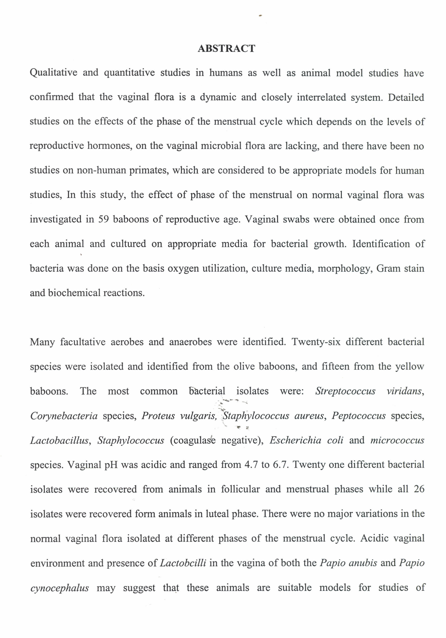## **ABSTRACT**

Qualitative and quantitative studies in humans as well as animal model studies have confirmed that the vaginal flora is a dynamic and closely interrelated system. Detailed studies on the effects of the phase of the menstrual cycle which depends on the levels of reproductive hormones, on the vaginal microbial flora are lacking, and there have been no studies on non-human primates, which are considered to be appropriate models for human studies, In this study, the effect of phase of the menstrual on normal vaginal flora was investigated in 59 baboons of reproductive age. Vaginal swabs were obtained once from each animal and cultured on appropriate media for bacterial growth. Identification of bacteria was done on the basis oxygen utilization, culture media, morphology, Gram stain and biochemical reactions.

Many facultative aerobes and anaerobes were identified. Twenty-six different bacterial species were isolated and identified from the olive baboons, and fifteen from the yellow baboons. The most common bacterial isolates were: *Streptococcus viridans*  $\mathcal{L}$ . *Corynebacteria* species, *Proteus vulgaris, f;tapliylococcus aureus, Peptococcus* species,  $\frac{1}{2}$  . 1P's *Lactobacillus, Staphylococcus* (coagulase negative), *Escherichia coli* and *micrococcus* species. Vaginal pH was acidic and ranged from 4.7 to 6.7. Twenty one different bacterial isolates were recovered from animals in follicular and menstrual phases while all 26 isolates were recovered form animals in luteal phase. There were no major variations in the normal vaginal flora isolated at different phases of the menstrual cycle. Acidic vaginal environment and presence of *Lactobcilli* in the vagina of both the *Papio anubis* and *Papio cynocephalus* may suggest that these animals are suitable models for studies of